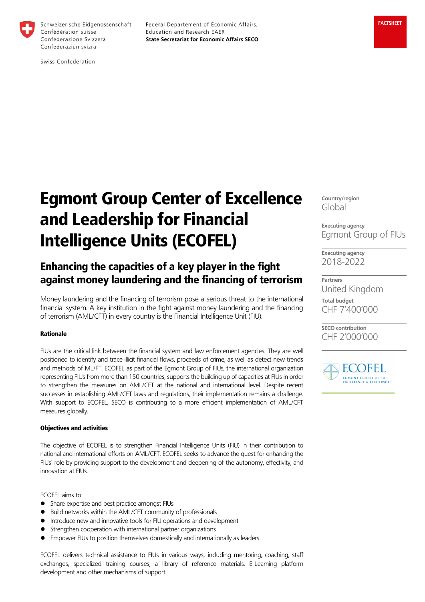

Schweizerische Eidgenossenschaft Confédération suisse Confederazione Svizzera Confederaziun svizra

Federal Departement of Economic Affairs, Education and Research EAER **State Secretariat for Economic Affairs SECO** 

Swiss Confederation

# Egmont Group Center of Excellence and Leadership for Financial Intelligence Units (ECOFEL)

# Enhancing the capacities of a key player in the fight against money laundering and the financing of terrorism

Money laundering and the financing of terrorism pose a serious threat to the international financial system. A key institution in the fight against money laundering and the financing of terrorism (AML/CFT) in every country is the Financial Intelligence Unit (FIU).

## Rationale

FIUs are the critical link between the financial system and law enforcement agencies. They are well positioned to identify and trace illicit financial flows, proceeds of crime, as well as detect new trends and methods of ML/FT. ECOFEL as part of the Egmont Group of FIUs, the international organization representing FIUs from more than 150 countries, supports the building up of capacities at FIUs in order to strengthen the measures on AML/CFT at the national and international level. Despite recent successes in establishing AML/CFT laws and regulations, their implementation remains a challenge. With support to ECOFEL, SECO is contributing to a more efficient implementation of AML/CFT measures globally.

#### Objectives and activities

The objective of ECOFEL is to strengthen Financial Intelligence Units (FIU) in their contribution to national and international efforts on AML/CFT. ECOFEL seeks to advance the quest for enhancing the FIUs' role by providing support to the development and deepening of the autonomy, effectivity, and innovation at FIUs.

ECOFEL aims to:

- Share expertise and best practice amongst FIUs
- Build networks within the AML/CFT community of professionals
- **Introduce new and innovative tools for FIU operations and development**
- **Strengthen cooperation with international partner organizations**
- Empower FIUs to position themselves domestically and internationally as leaders

ECOFEL delivers technical assistance to FIUs in various ways, including mentoring, coaching, staff exchanges, specialized training courses, a library of reference materials, E-Learning platform development and other mechanisms of support.

**Country/region** Global

**Executing agency** Egmont Group of FIUs

**Executing agency** 2018-2022

**Partners** United Kingdom

**Total budget** CHF 7'400'000

**SECO contribution** CHF 2'000'000